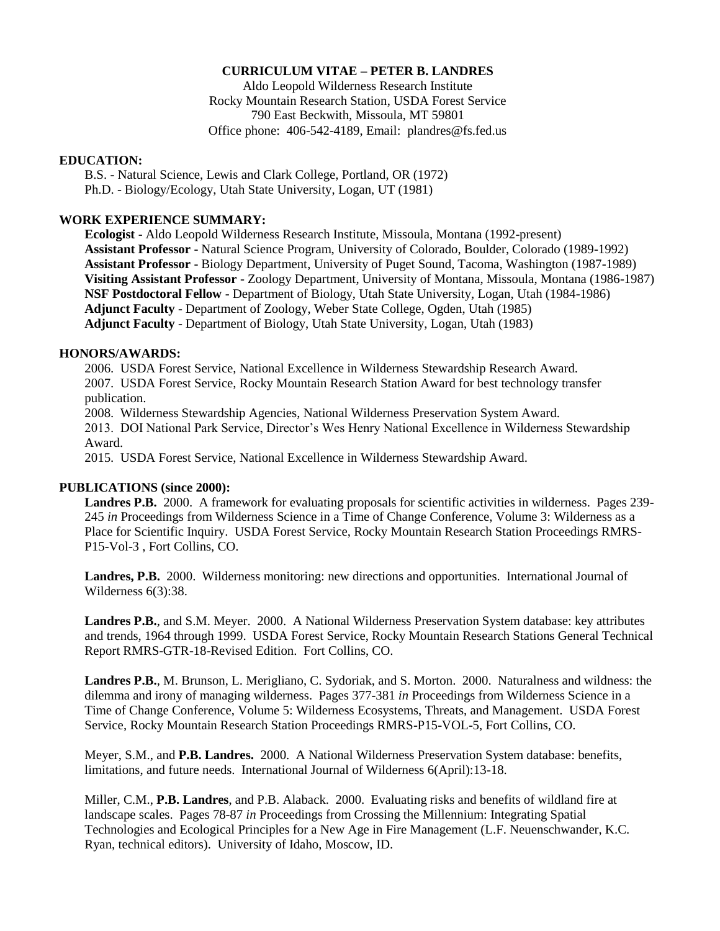# **CURRICULUM VITAE – PETER B. LANDRES**

Aldo Leopold Wilderness Research Institute Rocky Mountain Research Station, USDA Forest Service 790 East Beckwith, Missoula, MT 59801 Office phone: 406-542-4189, Email: plandres@fs.fed.us

#### **EDUCATION:**

B.S. - Natural Science, Lewis and Clark College, Portland, OR (1972) Ph.D. - Biology/Ecology, Utah State University, Logan, UT (1981)

## **WORK EXPERIENCE SUMMARY:**

**Ecologist** - Aldo Leopold Wilderness Research Institute, Missoula, Montana (1992-present) **Assistant Professor** - Natural Science Program, University of Colorado, Boulder, Colorado (1989-1992) **Assistant Professor** - Biology Department, University of Puget Sound, Tacoma, Washington (1987-1989) **Visiting Assistant Professor** - Zoology Department, University of Montana, Missoula, Montana (1986-1987) **NSF Postdoctoral Fellow** - Department of Biology, Utah State University, Logan, Utah (1984-1986) **Adjunct Faculty** - Department of Zoology, Weber State College, Ogden, Utah (1985) **Adjunct Faculty** - Department of Biology, Utah State University, Logan, Utah (1983)

#### **HONORS/AWARDS:**

2006. USDA Forest Service, National Excellence in Wilderness Stewardship Research Award. 2007. USDA Forest Service, Rocky Mountain Research Station Award for best technology transfer publication.

2008. Wilderness Stewardship Agencies, National Wilderness Preservation System Award. 2013. DOI National Park Service, Director's Wes Henry National Excellence in Wilderness Stewardship Award.

2015. USDA Forest Service, National Excellence in Wilderness Stewardship Award.

## **PUBLICATIONS (since 2000):**

**Landres P.B.** 2000. A framework for evaluating proposals for scientific activities in wilderness. Pages 239- 245 *in* Proceedings from Wilderness Science in a Time of Change Conference, Volume 3: Wilderness as a Place for Scientific Inquiry. USDA Forest Service, Rocky Mountain Research Station Proceedings RMRS-P15-Vol-3 , Fort Collins, CO.

**Landres, P.B.** 2000. Wilderness monitoring: new directions and opportunities. International Journal of Wilderness 6(3):38.

**Landres P.B.**, and S.M. Meyer. 2000. A National Wilderness Preservation System database: key attributes and trends, 1964 through 1999. USDA Forest Service, Rocky Mountain Research Stations General Technical Report RMRS-GTR-18-Revised Edition. Fort Collins, CO.

**Landres P.B.**, M. Brunson, L. Merigliano, C. Sydoriak, and S. Morton. 2000. Naturalness and wildness: the dilemma and irony of managing wilderness. Pages 377-381 *in* Proceedings from Wilderness Science in a Time of Change Conference, Volume 5: Wilderness Ecosystems, Threats, and Management. USDA Forest Service, Rocky Mountain Research Station Proceedings RMRS-P15-VOL-5, Fort Collins, CO.

Meyer, S.M., and **P.B. Landres.** 2000. A National Wilderness Preservation System database: benefits, limitations, and future needs. International Journal of Wilderness 6(April):13-18.

Miller, C.M., **P.B. Landres**, and P.B. Alaback. 2000. Evaluating risks and benefits of wildland fire at landscape scales. Pages 78-87 *in* Proceedings from Crossing the Millennium: Integrating Spatial Technologies and Ecological Principles for a New Age in Fire Management (L.F. Neuenschwander, K.C. Ryan, technical editors). University of Idaho, Moscow, ID.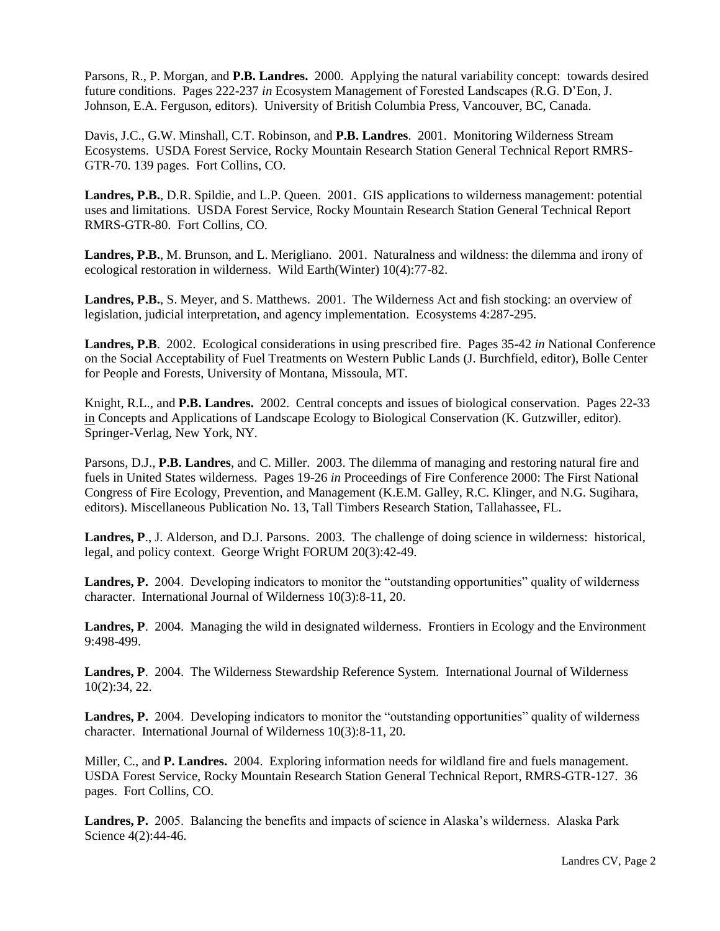Parsons, R., P. Morgan, and **P.B. Landres.** 2000. Applying the natural variability concept: towards desired future conditions. Pages 222-237 *in* Ecosystem Management of Forested Landscapes (R.G. D'Eon, J. Johnson, E.A. Ferguson, editors). University of British Columbia Press, Vancouver, BC, Canada.

Davis, J.C., G.W. Minshall, C.T. Robinson, and **P.B. Landres**. 2001. Monitoring Wilderness Stream Ecosystems. USDA Forest Service, Rocky Mountain Research Station General Technical Report RMRS-GTR-70. 139 pages. Fort Collins, CO.

**Landres, P.B.**, D.R. Spildie, and L.P. Queen. 2001. GIS applications to wilderness management: potential uses and limitations. USDA Forest Service, Rocky Mountain Research Station General Technical Report RMRS-GTR-80. Fort Collins, CO.

**Landres, P.B.**, M. Brunson, and L. Merigliano. 2001. Naturalness and wildness: the dilemma and irony of ecological restoration in wilderness. Wild Earth(Winter) 10(4):77-82.

**Landres, P.B.**, S. Meyer, and S. Matthews. 2001. The Wilderness Act and fish stocking: an overview of legislation, judicial interpretation, and agency implementation. Ecosystems 4:287-295.

**Landres, P.B**. 2002. Ecological considerations in using prescribed fire. Pages 35-42 *in* National Conference on the Social Acceptability of Fuel Treatments on Western Public Lands (J. Burchfield, editor), Bolle Center for People and Forests, University of Montana, Missoula, MT.

Knight, R.L., and **P.B. Landres.** 2002. Central concepts and issues of biological conservation. Pages 22-33 in Concepts and Applications of Landscape Ecology to Biological Conservation (K. Gutzwiller, editor). Springer-Verlag, New York, NY.

Parsons, D.J., **P.B. Landres**, and C. Miller. 2003. The dilemma of managing and restoring natural fire and fuels in United States wilderness. Pages 19-26 *in* Proceedings of Fire Conference 2000: The First National Congress of Fire Ecology, Prevention, and Management (K.E.M. Galley, R.C. Klinger, and N.G. Sugihara, editors). Miscellaneous Publication No. 13, Tall Timbers Research Station, Tallahassee, FL.

**Landres, P**., J. Alderson, and D.J. Parsons. 2003. The challenge of doing science in wilderness: historical, legal, and policy context. George Wright FORUM 20(3):42-49.

Landres, P. 2004. Developing indicators to monitor the "outstanding opportunities" quality of wilderness character. International Journal of Wilderness 10(3):8-11, 20.

Landres, P. 2004. Managing the wild in designated wilderness. Frontiers in Ecology and the Environment 9:498-499.

**Landres, P**. 2004. The Wilderness Stewardship Reference System. International Journal of Wilderness 10(2):34, 22.

**Landres, P.** 2004. Developing indicators to monitor the "outstanding opportunities" quality of wilderness character. International Journal of Wilderness 10(3):8-11, 20.

Miller, C., and **P. Landres.** 2004. Exploring information needs for wildland fire and fuels management. USDA Forest Service, Rocky Mountain Research Station General Technical Report, RMRS-GTR-127. 36 pages. Fort Collins, CO.

**Landres, P.** 2005. Balancing the benefits and impacts of science in Alaska's wilderness. Alaska Park Science 4(2):44-46.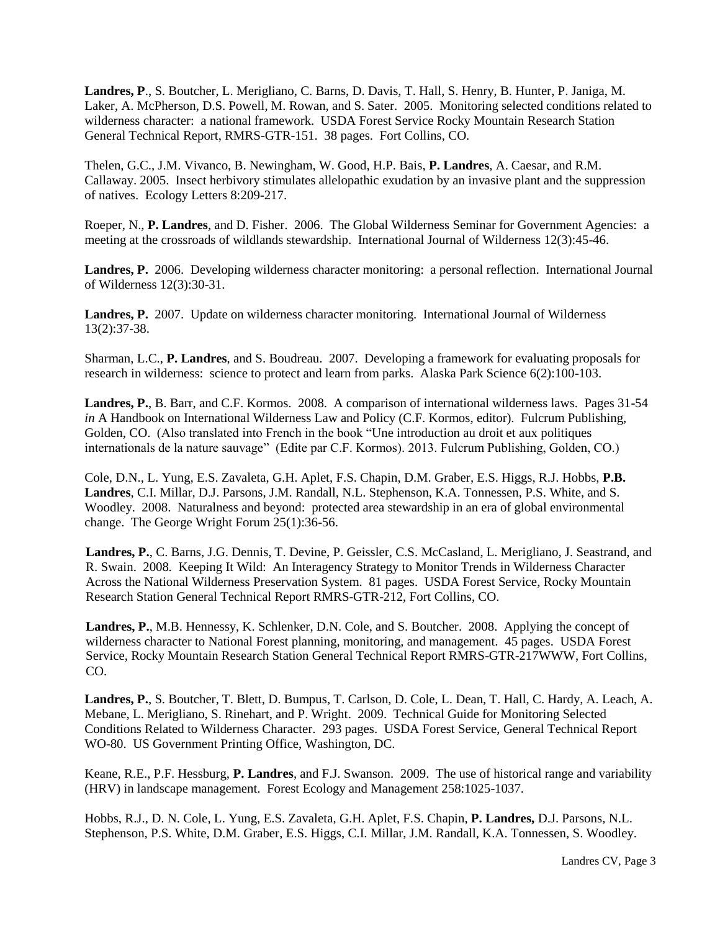**Landres, P**., S. Boutcher, L. Merigliano, C. Barns, D. Davis, T. Hall, S. Henry, B. Hunter, P. Janiga, M. Laker, A. McPherson, D.S. Powell, M. Rowan, and S. Sater. 2005. Monitoring selected conditions related to wilderness character: a national framework. USDA Forest Service Rocky Mountain Research Station General Technical Report, RMRS-GTR-151. 38 pages. Fort Collins, CO.

Thelen, G.C., J.M. Vivanco, B. Newingham, W. Good, H.P. Bais, **P. Landres**, A. Caesar, and R.M. Callaway. 2005. Insect herbivory stimulates allelopathic exudation by an invasive plant and the suppression of natives. Ecology Letters 8:209-217.

Roeper, N., **P. Landres**, and D. Fisher. 2006. The Global Wilderness Seminar for Government Agencies: a meeting at the crossroads of wildlands stewardship. International Journal of Wilderness 12(3):45-46.

**Landres, P.** 2006. Developing wilderness character monitoring: a personal reflection. International Journal of Wilderness 12(3):30-31.

**Landres, P.** 2007. Update on wilderness character monitoring. International Journal of Wilderness 13(2):37-38.

Sharman, L.C., **P. Landres**, and S. Boudreau. 2007. Developing a framework for evaluating proposals for research in wilderness: science to protect and learn from parks. Alaska Park Science 6(2):100-103.

**Landres, P.**, B. Barr, and C.F. Kormos. 2008. A comparison of international wilderness laws. Pages 31-54 *in* A Handbook on International Wilderness Law and Policy (C.F. Kormos, editor). Fulcrum Publishing, Golden, CO. (Also translated into French in the book "Une introduction au droit et aux politiques internationals de la nature sauvage" (Edite par C.F. Kormos). 2013. Fulcrum Publishing, Golden, CO.)

Cole, D.N., L. Yung, E.S. Zavaleta, G.H. Aplet, F.S. Chapin, D.M. Graber, E.S. Higgs, R.J. Hobbs, **P.B. Landres**, C.I. Millar, D.J. Parsons, J.M. Randall, N.L. Stephenson, K.A. Tonnessen, P.S. White, and S. Woodley. 2008. Naturalness and beyond: protected area stewardship in an era of global environmental change. The George Wright Forum 25(1):36-56.

**Landres, P.**, C. Barns, J.G. Dennis, T. Devine, P. Geissler, C.S. McCasland, L. Merigliano, J. Seastrand, and R. Swain. 2008*.* Keeping It Wild: An Interagency Strategy to Monitor Trends in Wilderness Character Across the National Wilderness Preservation System. 81 pages. USDA Forest Service, Rocky Mountain Research Station General Technical Report RMRS-GTR-212, Fort Collins, CO.

**Landres, P.**, M.B. Hennessy, K. Schlenker, D.N. Cole, and S. Boutcher. 2008. Applying the concept of wilderness character to National Forest planning, monitoring, and management. 45 pages. USDA Forest Service, Rocky Mountain Research Station General Technical Report RMRS-GTR-217WWW, Fort Collins, CO.

**Landres, P.**, S. Boutcher, T. Blett, D. Bumpus, T. Carlson, D. Cole, L. Dean, T. Hall, C. Hardy, A. Leach, A. Mebane, L. Merigliano, S. Rinehart, and P. Wright. 2009.Technical Guide for Monitoring Selected Conditions Related to Wilderness Character. 293 pages. USDA Forest Service, General Technical Report WO-80. US Government Printing Office, Washington, DC.

Keane, R.E., P.F. Hessburg, **P. Landres**, and F.J. Swanson. 2009. The use of historical range and variability (HRV) in landscape management. Forest Ecology and Management 258:1025-1037.

Hobbs, R.J., D. N. Cole, L. Yung, E.S. Zavaleta, G.H. Aplet, F.S. Chapin, **P. Landres,** D.J. Parsons, N.L. Stephenson, P.S. White, D.M. Graber, E.S. Higgs, C.I. Millar, J.M. Randall, K.A. Tonnessen, S. Woodley.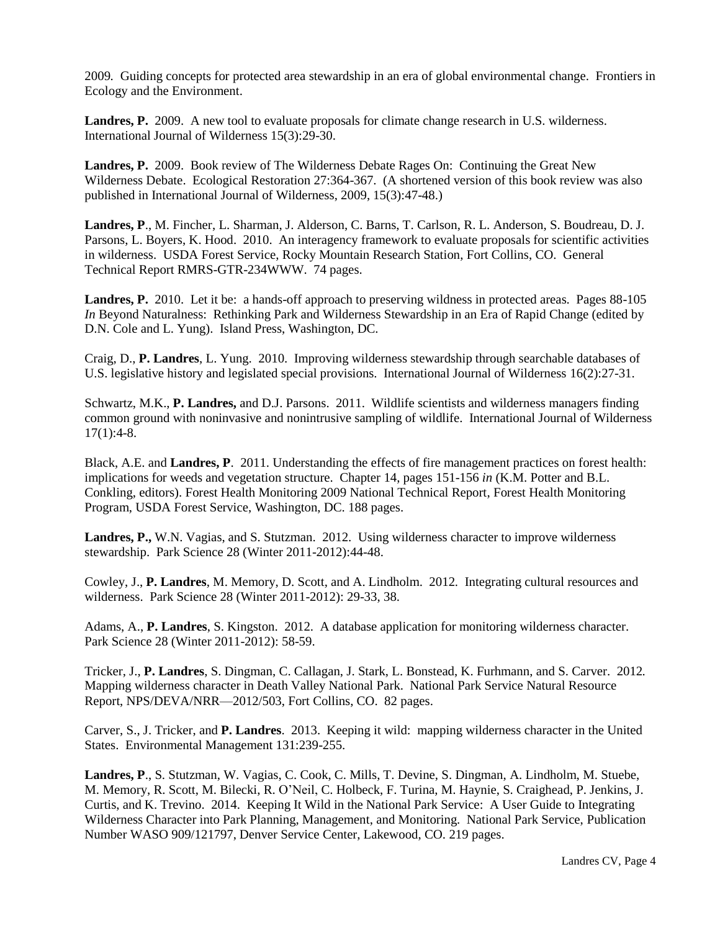2009*.* Guiding concepts for protected area stewardship in an era of global environmental change. Frontiers in Ecology and the Environment.

**Landres, P.** 2009. A new tool to evaluate proposals for climate change research in U.S. wilderness. International Journal of Wilderness 15(3):29-30.

**Landres, P.** 2009. Book review of The Wilderness Debate Rages On: Continuing the Great New Wilderness Debate. Ecological Restoration 27:364-367. (A shortened version of this book review was also published in International Journal of Wilderness, 2009, 15(3):47-48.)

**Landres, P**., M. Fincher, L. Sharman, J. Alderson, C. Barns, T. Carlson, R. L. Anderson, S. Boudreau, D. J. Parsons, L. Boyers, K. Hood. 2010. An interagency framework to evaluate proposals for scientific activities in wilderness. USDA Forest Service, Rocky Mountain Research Station, Fort Collins, CO. General Technical Report RMRS-GTR-234WWW. 74 pages.

Landres, P. 2010. Let it be: a hands-off approach to preserving wildness in protected areas. Pages 88-105 *In* Beyond Naturalness: Rethinking Park and Wilderness Stewardship in an Era of Rapid Change (edited by D.N. Cole and L. Yung). Island Press, Washington, DC.

Craig, D., **P. Landres**, L. Yung. 2010. Improving wilderness stewardship through searchable databases of U.S. legislative history and legislated special provisions. International Journal of Wilderness 16(2):27-31.

Schwartz, M.K., **P. Landres,** and D.J. Parsons. 2011. Wildlife scientists and wilderness managers finding common ground with noninvasive and nonintrusive sampling of wildlife. International Journal of Wilderness  $17(1):4-8.$ 

Black, A.E. and **Landres, P**. 2011. Understanding the effects of fire management practices on forest health: implications for weeds and vegetation structure. Chapter 14, pages 151-156 *in* (K.M. Potter and B.L. Conkling, editors). Forest Health Monitoring 2009 National Technical Report, Forest Health Monitoring Program, USDA Forest Service, Washington, DC. 188 pages.

**Landres, P.,** W.N. Vagias, and S. Stutzman. 2012. Using wilderness character to improve wilderness stewardship. Park Science 28 (Winter 2011-2012):44-48.

Cowley, J., **P. Landres**, M. Memory, D. Scott, and A. Lindholm. 2012*.* Integrating cultural resources and wilderness. Park Science 28 (Winter 2011-2012): 29-33, 38.

Adams, A., **P. Landres**, S. Kingston. 2012. A database application for monitoring wilderness character. Park Science 28 (Winter 2011-2012): 58-59.

Tricker, J., **P. Landres**, S. Dingman, C. Callagan, J. Stark, L. Bonstead, K. Furhmann, and S. Carver. 2012*.* Mapping wilderness character in Death Valley National Park. National Park Service Natural Resource Report, NPS/DEVA/NRR—2012/503, Fort Collins, CO. 82 pages.

Carver, S., J. Tricker, and **P. Landres**. 2013. Keeping it wild: mapping wilderness character in the United States. Environmental Management 131:239-255.

**Landres, P**., S. Stutzman, W. Vagias, C. Cook, C. Mills, T. Devine, S. Dingman, A. Lindholm, M. Stuebe, M. Memory, R. Scott, M. Bilecki, R. O'Neil, C. Holbeck, F. Turina, M. Haynie, S. Craighead, P. Jenkins, J. Curtis, and K. Trevino. 2014. Keeping It Wild in the National Park Service: A User Guide to Integrating Wilderness Character into Park Planning, Management, and Monitoring. National Park Service, Publication Number WASO 909/121797, Denver Service Center, Lakewood, CO. 219 pages.